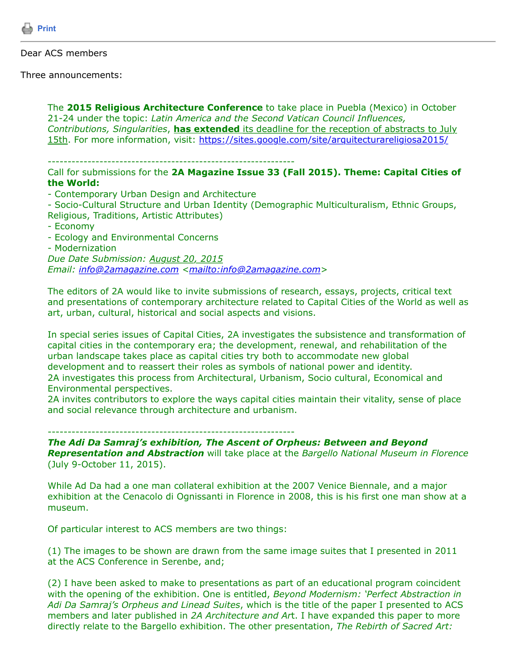

## Dear ACS members

Three announcements:

The **2015 Religious Architecture Conference** to take place in Puebla (Mexico) in October 21-24 under the topic: *Latin America and the Second Vatican Council Influences, Contributions, Singularities*, **has extended** its deadline for the reception of abstracts to July 15th. For more information, visit: <https://sites.google.com/site/arquitecturareligiosa2015/>

## --------------------------------------------------------------

## Call for submissions for the **2A Magazine Issue 33 (Fall 2015). Theme: Capital Cities of the World:**

- Contemporary Urban Design and Architecture

- Socio-Cultural Structure and Urban Identity (Demographic Multiculturalism, Ethnic Groups, Religious, Traditions, Artistic Attributes)

- Economy
- Ecology and Environmental Concerns
- Modernization

*Due Date Submission: August 20, 2015*

*Email: [info@2amagazine.com](https://listserv.tamu.edu/cgi-bin/info@2amagazine.com) [<mailto:info@2amagazine.com>](mailto:info@2amagazine.com)* 

The editors of 2A would like to invite submissions of research, essays, projects, critical text and presentations of contemporary architecture related to Capital Cities of the World as well as art, urban, cultural, historical and social aspects and visions.

In special series issues of Capital Cities, 2A investigates the subsistence and transformation of capital cities in the contemporary era; the development, renewal, and rehabilitation of the urban landscape takes place as capital cities try both to accommodate new global development and to reassert their roles as symbols of national power and identity. 2A investigates this process from Architectural, Urbanism, Socio cultural, Economical and Environmental perspectives.

2A invites contributors to explore the ways capital cities maintain their vitality, sense of place and social relevance through architecture and urbanism.

-------------------------------------------------------------- *The Adi Da Samraj's exhibition, The Ascent of Orpheus: Between and Beyond Representation and Abstraction* will take place at the *Bargello National Museum in Florence* (July 9-October 11, 2015).

While Ad Da had a one man collateral exhibition at the 2007 Venice Biennale, and a major exhibition at the Cenacolo di Ognissanti in Florence in 2008, this is his first one man show at a museum.

Of particular interest to ACS members are two things:

(1) The images to be shown are drawn from the same image suites that I presented in 2011 at the ACS Conference in Serenbe, and;

(2) I have been asked to make to presentations as part of an educational program coincident with the opening of the exhibition. One is entitled, *Beyond Modernism: 'Perfect Abstraction in Adi Da Samraj's Orpheus and Linead Suites*, which is the title of the paper I presented to ACS members and later published in *2A Architecture and Ar*t. I have expanded this paper to more directly relate to the Bargello exhibition. The other presentation, *The Rebirth of Sacred Art:*